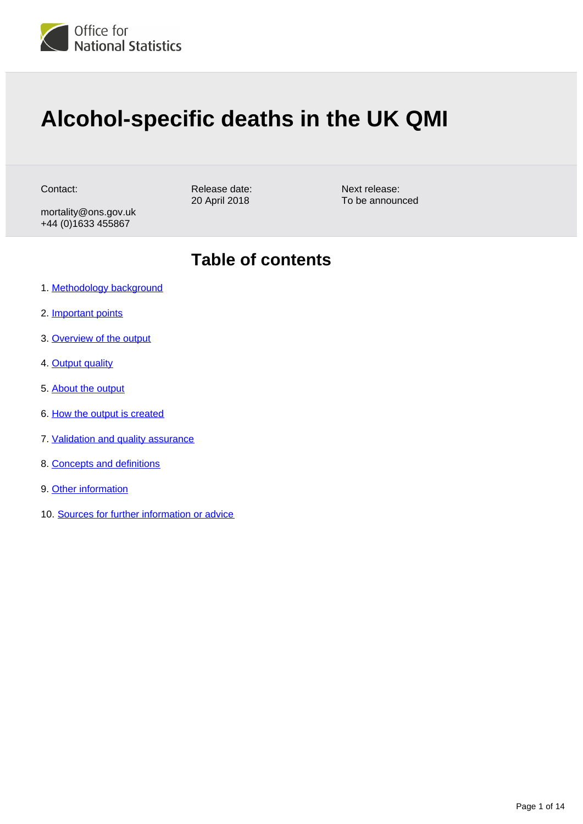

# **Alcohol-specific deaths in the UK QMI**

Contact:

Release date: 20 April 2018

mortality@ons.gov.uk +44 (0)1633 455867

**Table of contents**

Next release: To be announced

- 1. [Methodology background](#page-1-0)
- 2. [Important points](#page-1-1)
- 3. [Overview of the output](#page-2-0)
- 4. [Output quality](#page-2-1)
- 5. [About the output](#page-3-0)
- 6. [How the output is created](#page-4-0)
- 7. [Validation and quality assurance](#page-6-0)
- 8. [Concepts and definitions](#page-11-0)
- 9. [Other information](#page-12-0)
- 10. [Sources for further information or advice](#page-13-0)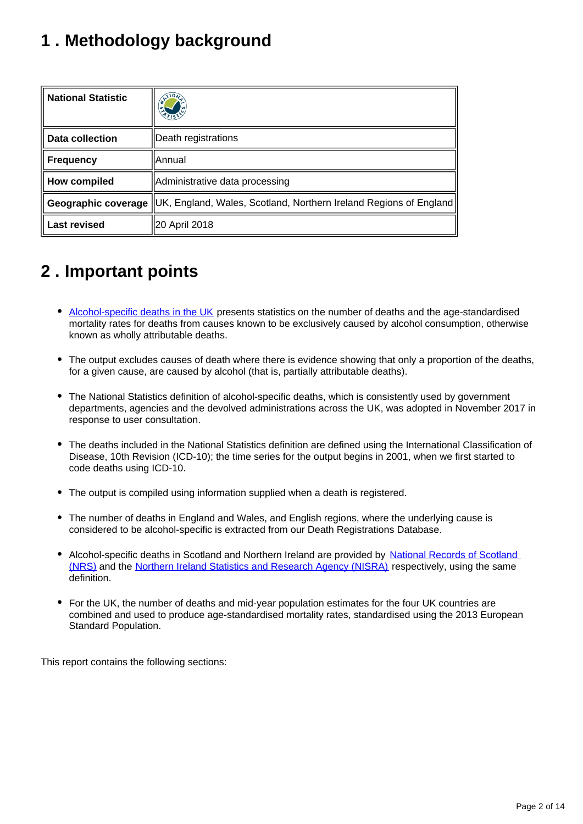## <span id="page-1-0"></span>**1 . Methodology background**

| <b>National Statistic</b> |                                                                                        |
|---------------------------|----------------------------------------------------------------------------------------|
| Data collection           | Death registrations                                                                    |
| <b>Frequency</b>          | llAnnual                                                                               |
| How compiled              | Administrative data processing                                                         |
|                           | Geographic coverage  UK, England, Wales, Scotland, Northern Ireland Regions of England |
| <b>Last revised</b>       | 20 April 2018                                                                          |

### <span id="page-1-1"></span>**2 . Important points**

- [Alcohol-specific deaths in the UK](https://www.ons.gov.uk/peoplepopulationandcommunity/healthandsocialcare/causesofdeath/bulletins/alcoholrelateddeathsintheunitedkingdom/registeredin2016) presents statistics on the number of deaths and the age-standardised mortality rates for deaths from causes known to be exclusively caused by alcohol consumption, otherwise known as wholly attributable deaths.
- The output excludes causes of death where there is evidence showing that only a proportion of the deaths, for a given cause, are caused by alcohol (that is, partially attributable deaths).
- The National Statistics definition of alcohol-specific deaths, which is consistently used by government departments, agencies and the devolved administrations across the UK, was adopted in November 2017 in response to user consultation.
- The deaths included in the National Statistics definition are defined using the International Classification of Disease, 10th Revision (ICD-10); the time series for the output begins in 2001, when we first started to code deaths using ICD-10.
- The output is compiled using information supplied when a death is registered.
- The number of deaths in England and Wales, and English regions, where the underlying cause is considered to be alcohol-specific is extracted from our Death Registrations Database.
- Alcohol-specific deaths in Scotland and Northern Ireland are provided by National Records of Scotland [\(NRS\)](http://www.nrscotland.gov.uk/statistics-and-data/statistics/statistics-by-theme/vital-events/deaths/alcohol-related-deaths) and the [Northern Ireland Statistics and Research Agency \(NISRA\)](http://www.nisra.gov.uk/demography/default.asp30.htm) respectively, using the same definition.
- For the UK, the number of deaths and mid-year population estimates for the four UK countries are combined and used to produce age-standardised mortality rates, standardised using the 2013 European Standard Population.

This report contains the following sections: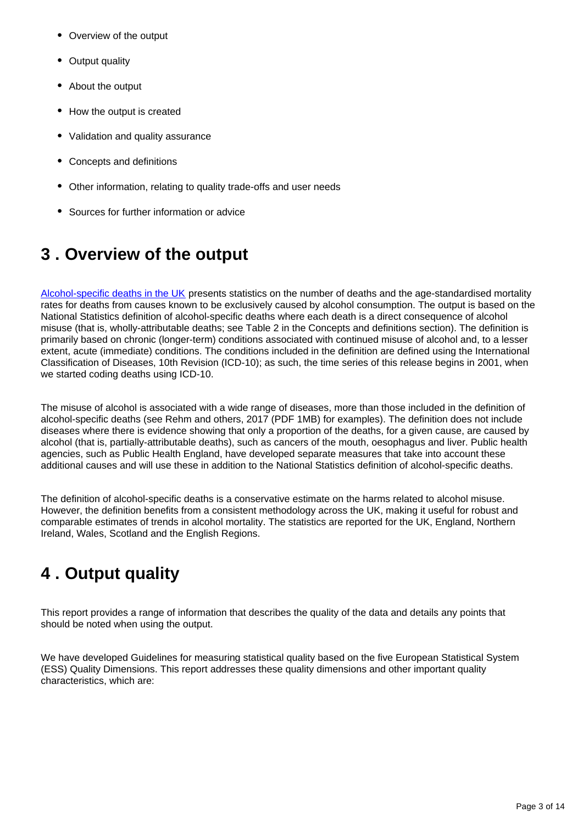- Overview of the output
- Output quality
- About the output
- How the output is created
- Validation and quality assurance
- Concepts and definitions
- Other information, relating to quality trade-offs and user needs
- Sources for further information or advice

### <span id="page-2-0"></span>**3 . Overview of the output**

[Alcohol-specific deaths in the UK](https://www.ons.gov.uk/peoplepopulationandcommunity/healthandsocialcare/causesofdeath/bulletins/alcoholrelateddeathsintheunitedkingdom/registeredin2016) presents statistics on the number of deaths and the age-standardised mortality rates for deaths from causes known to be exclusively caused by alcohol consumption. The output is based on the National Statistics definition of alcohol-specific deaths where each death is a direct consequence of alcohol misuse (that is, wholly-attributable deaths; see Table 2 in the Concepts and definitions section). The definition is primarily based on chronic (longer-term) conditions associated with continued misuse of alcohol and, to a lesser extent, acute (immediate) conditions. The conditions included in the definition are defined using the International Classification of Diseases, 10th Revision (ICD-10); as such, the time series of this release begins in 2001, when we started coding deaths using ICD-10.

The misuse of alcohol is associated with a wide range of diseases, more than those included in the definition of alcohol-specific deaths (see Rehm and others, 2017 (PDF 1MB) for examples). The definition does not include diseases where there is evidence showing that only a proportion of the deaths, for a given cause, are caused by alcohol (that is, partially-attributable deaths), such as cancers of the mouth, oesophagus and liver. Public health agencies, such as Public Health England, have developed separate measures that take into account these additional causes and will use these in addition to the National Statistics definition of alcohol-specific deaths.

The definition of alcohol-specific deaths is a conservative estimate on the harms related to alcohol misuse. However, the definition benefits from a consistent methodology across the UK, making it useful for robust and comparable estimates of trends in alcohol mortality. The statistics are reported for the UK, England, Northern Ireland, Wales, Scotland and the English Regions.

### <span id="page-2-1"></span>**4 . Output quality**

This report provides a range of information that describes the quality of the data and details any points that should be noted when using the output.

We have developed Guidelines for measuring statistical quality based on the five European Statistical System (ESS) Quality Dimensions. This report addresses these quality dimensions and other important quality characteristics, which are: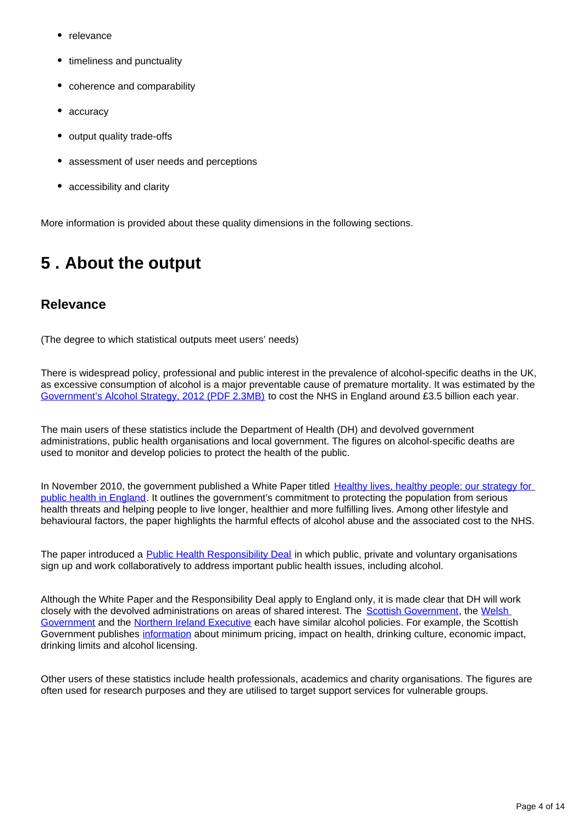- relevance
- timeliness and punctuality
- coherence and comparability
- accuracy
- output quality trade-offs
- assessment of user needs and perceptions
- accessibility and clarity

More information is provided about these quality dimensions in the following sections.

### <span id="page-3-0"></span>**5 . About the output**

#### **Relevance**

(The degree to which statistical outputs meet users' needs)

There is widespread policy, professional and public interest in the prevalence of alcohol-specific deaths in the UK, as excessive consumption of alcohol is a major preventable cause of premature mortality. It was estimated by the [Government's Alcohol Strategy, 2012 \(PDF 2.3MB\)](http://www.publications.parliament.uk/pa/cm201213/cmselect/cmhealth/132/132.pdf) to cost the NHS in England around £3.5 billion each year.

The main users of these statistics include the Department of Health (DH) and devolved government administrations, public health organisations and local government. The figures on alcohol-specific deaths are used to monitor and develop policies to protect the health of the public.

In November 2010, the government published a White Paper titled [Healthy lives, healthy people: our strategy for](https://www.gov.uk/government/publications/healthy-lives-healthy-people-our-strategy-for-public-health-in-england)  [public health in England.](https://www.gov.uk/government/publications/healthy-lives-healthy-people-our-strategy-for-public-health-in-england) It outlines the government's commitment to protecting the population from serious health threats and helping people to live longer, healthier and more fulfilling lives. Among other lifestyle and behavioural factors, the paper highlights the harmful effects of alcohol abuse and the associated cost to the NHS.

The paper introduced a [Public Health Responsibility Deal](https://responsibilitydeal.dh.gov.uk/partners/) in which public, private and voluntary organisations sign up and work collaboratively to address important public health issues, including alcohol.

Although the White Paper and the Responsibility Deal apply to England only, it is made clear that DH will work closely with the devolved administrations on areas of shared interest. The [Scottish Government,](http://www.gov.scot/Topics/Health/Services/Alcohol) the Welsh [Government](http://www.wales.nhs.uk/healthtopics/lifestyles/alcohol) and the [Northern Ireland Executive](http://www.dhsspsni.gov.uk/new_strategic_direction_for_alcohol_and_drugs_phase_2__2011-2016_) each have similar alcohol policies. For example, the Scottish Government publishes [information](http://www.scotland.gov.uk/Topics/Health/Services/Alcohol) about minimum pricing, impact on health, drinking culture, economic impact, drinking limits and alcohol licensing.

Other users of these statistics include health professionals, academics and charity organisations. The figures are often used for research purposes and they are utilised to target support services for vulnerable groups.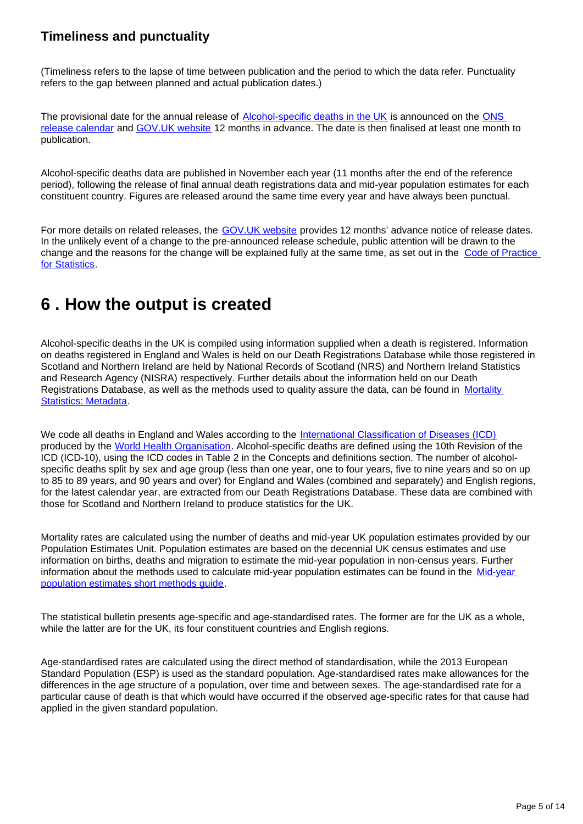### **Timeliness and punctuality**

(Timeliness refers to the lapse of time between publication and the period to which the data refer. Punctuality refers to the gap between planned and actual publication dates.)

The provisional date for the annual release of [Alcohol-specific deaths in the UK](https://www.ons.gov.uk/peoplepopulationandcommunity/healthandsocialcare/causesofdeath/bulletins/alcoholrelateddeathsintheunitedkingdom/registeredin2016) is announced on the [ONS](http://www.ons.gov.uk/ons/release-calendar/index.html)  [release calendar](http://www.ons.gov.uk/ons/release-calendar/index.html) and [GOV.UK website](https://www.gov.uk/government/publications) 12 months in advance. The date is then finalised at least one month to publication.

Alcohol-specific deaths data are published in November each year (11 months after the end of the reference period), following the release of final annual death registrations data and mid-year population estimates for each constituent country. Figures are released around the same time every year and have always been punctual.

For more details on related releases, the [GOV.UK website](https://www.gov.uk/government/publications) provides 12 months' advance notice of release dates. In the unlikely event of a change to the pre-announced release schedule, public attention will be drawn to the change and the reasons for the change will be explained fully at the same time, as set out in the [Code of Practice](http://www.statisticsauthority.gov.uk/assessment/code-of-practice/index.html)  [for Statistics.](http://www.statisticsauthority.gov.uk/assessment/code-of-practice/index.html)

### <span id="page-4-0"></span>**6 . How the output is created**

Alcohol-specific deaths in the UK is compiled using information supplied when a death is registered. Information on deaths registered in England and Wales is held on our Death Registrations Database while those registered in Scotland and Northern Ireland are held by National Records of Scotland (NRS) and Northern Ireland Statistics and Research Agency (NISRA) respectively. Further details about the information held on our Death Registrations Database, as well as the methods used to quality assure the data, can be found in [Mortality](http://www.ons.gov.uk/ons/guide-method/user-guidance/health-and-life-events/mortality-metadata.pdf)  [Statistics: Metadata](http://www.ons.gov.uk/ons/guide-method/user-guidance/health-and-life-events/mortality-metadata.pdf).

We code all deaths in England and Wales according to the [International Classification of Diseases \(ICD\)](http://www.who.int/classifications/icd/en/) produced by the [World Health Organisation](http://www.who.int/en/). Alcohol-specific deaths are defined using the 10th Revision of the ICD (ICD-10), using the ICD codes in Table 2 in the Concepts and definitions section. The number of alcoholspecific deaths split by sex and age group (less than one year, one to four years, five to nine years and so on up to 85 to 89 years, and 90 years and over) for England and Wales (combined and separately) and English regions, for the latest calendar year, are extracted from our Death Registrations Database. These data are combined with those for Scotland and Northern Ireland to produce statistics for the UK.

Mortality rates are calculated using the number of deaths and mid-year UK population estimates provided by our Population Estimates Unit. Population estimates are based on the decennial UK census estimates and use information on births, deaths and migration to estimate the mid-year population in non-census years. Further information about the methods used to calculate mid-year population estimates can be found in the Mid-year [population estimates short methods guide.](http://www.ons.gov.uk/ons/guide-method/method-quality/specific/population-and-migration/pop-ests/a-short-guide-to-population-estimates.pdf)

The statistical bulletin presents age-specific and age-standardised rates. The former are for the UK as a whole, while the latter are for the UK, its four constituent countries and English regions.

Age-standardised rates are calculated using the direct method of standardisation, while the 2013 European Standard Population (ESP) is used as the standard population. Age-standardised rates make allowances for the differences in the age structure of a population, over time and between sexes. The age-standardised rate for a particular cause of death is that which would have occurred if the observed age-specific rates for that cause had applied in the given standard population.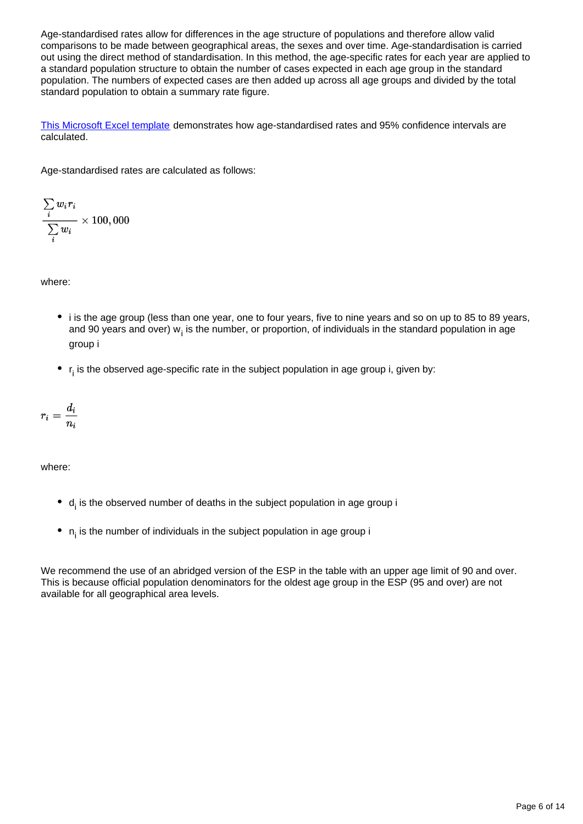Age-standardised rates allow for differences in the age structure of populations and therefore allow valid comparisons to be made between geographical areas, the sexes and over time. Age-standardisation is carried out using the direct method of standardisation. In this method, the age-specific rates for each year are applied to a standard population structure to obtain the number of cases expected in each age group in the standard population. The numbers of expected cases are then added up across all age groups and divided by the total standard population to obtain a summary rate figure.

[This Microsoft Excel template](http://www.ons.gov.uk/ons/guide-method/user-guidance/health-and-life-events/age-standardised-mortality-rate-calculation-template.xls) demonstrates how age-standardised rates and 95% confidence intervals are calculated.

Age-standardised rates are calculated as follows:

$$
\frac{\sum\limits_{i}w_ir_i}{\sum\limits_{i}w_i}\times 100,000
$$

where:

- i is the age group (less than one year, one to four years, five to nine years and so on up to 85 to 89 years, and 90 years and over) w, is the number, or proportion, of individuals in the standard population in age group i
- $r_i$  is the observed age-specific rate in the subject population in age group i, given by:

$$
r_i=\frac{d_i}{n_i}
$$

where:

- $\bullet$  d<sub>i</sub> is the observed number of deaths in the subject population in age group i
- $\bullet$  n<sub>i</sub> is the number of individuals in the subject population in age group i

We recommend the use of an abridged version of the ESP in the table with an upper age limit of 90 and over. This is because official population denominators for the oldest age group in the ESP (95 and over) are not available for all geographical area levels.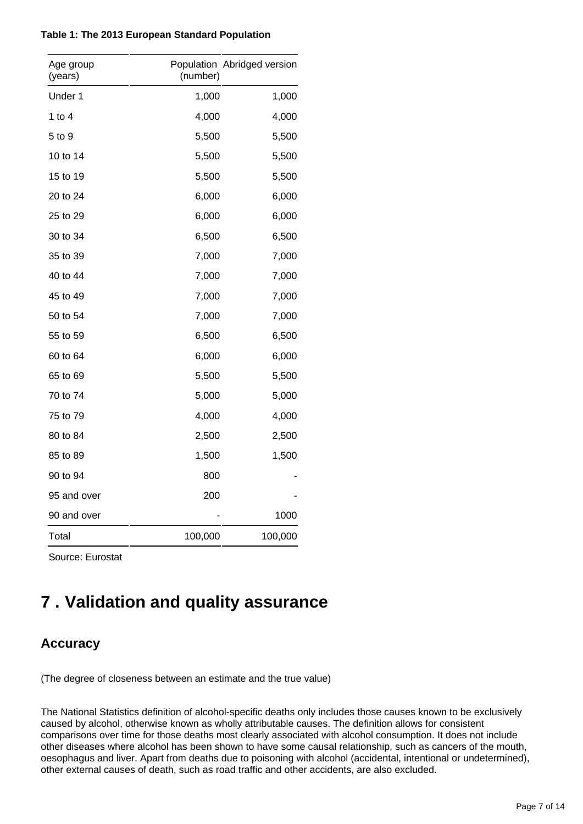| Table 1: The 2013 European Standard Population |  |  |  |  |  |
|------------------------------------------------|--|--|--|--|--|
|------------------------------------------------|--|--|--|--|--|

| Age group<br>(years) | (number) | Population Abridged version |
|----------------------|----------|-----------------------------|
| Under 1              | 1,000    | 1,000                       |
| 1 to $4$             | 4,000    | 4,000                       |
| 5 to 9               | 5,500    | 5,500                       |
| 10 to 14             | 5,500    | 5,500                       |
| 15 to 19             | 5,500    | 5,500                       |
| 20 to 24             | 6,000    | 6,000                       |
| 25 to 29             | 6,000    | 6,000                       |
| 30 to 34             | 6,500    | 6,500                       |
| 35 to 39             | 7,000    | 7,000                       |
| 40 to 44             | 7,000    | 7,000                       |
| 45 to 49             | 7,000    | 7,000                       |
| 50 to 54             | 7,000    | 7,000                       |
| 55 to 59             | 6,500    | 6,500                       |
| 60 to 64             | 6,000    | 6,000                       |
| 65 to 69             | 5,500    | 5,500                       |
| 70 to 74             | 5,000    | 5,000                       |
| 75 to 79             | 4,000    | 4,000                       |
| 80 to 84             | 2,500    | 2,500                       |
| 85 to 89             | 1,500    | 1,500                       |
| 90 to 94             | 800      |                             |
| 95 and over          | 200      |                             |
| 90 and over          |          | 1000                        |
| Total                | 100,000  | 100,000                     |

Source: Eurostat

### <span id="page-6-0"></span>**7 . Validation and quality assurance**

### **Accuracy**

(The degree of closeness between an estimate and the true value)

The National Statistics definition of alcohol-specific deaths only includes those causes known to be exclusively caused by alcohol, otherwise known as wholly attributable causes. The definition allows for consistent comparisons over time for those deaths most clearly associated with alcohol consumption. It does not include other diseases where alcohol has been shown to have some causal relationship, such as cancers of the mouth, oesophagus and liver. Apart from deaths due to poisoning with alcohol (accidental, intentional or undetermined), other external causes of death, such as road traffic and other accidents, are also excluded.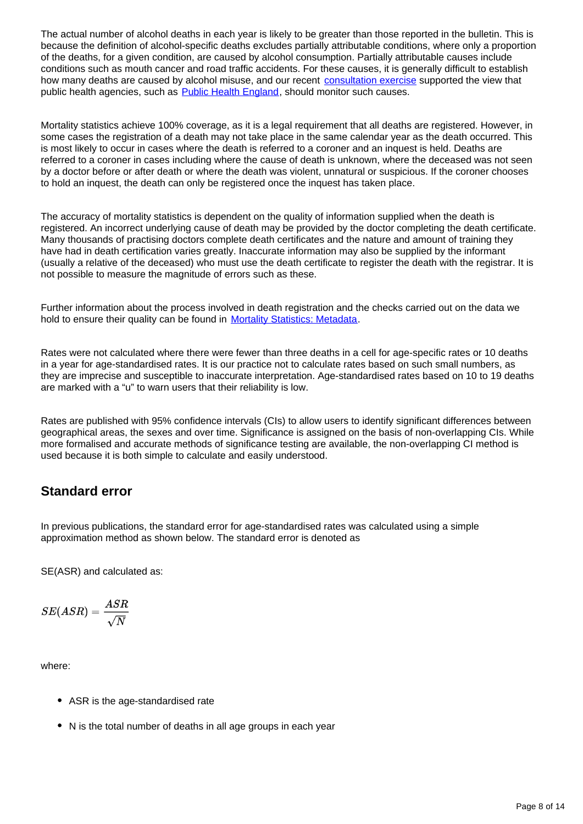The actual number of alcohol deaths in each year is likely to be greater than those reported in the bulletin. This is because the definition of alcohol-specific deaths excludes partially attributable conditions, where only a proportion of the deaths, for a given condition, are caused by alcohol consumption. Partially attributable causes include conditions such as mouth cancer and road traffic accidents. For these causes, it is generally difficult to establish how many deaths are caused by alcohol misuse, and our recent [consultation exercise](https://consultations.ons.gov.uk/health-and-life-events/alcohol-mortality-definition-review/) supported the view that public health agencies, such as **[Public Health England](https://fingertips.phe.org.uk/profile/local-alcohol-profiles)**, should monitor such causes.

Mortality statistics achieve 100% coverage, as it is a legal requirement that all deaths are registered. However, in some cases the registration of a death may not take place in the same calendar year as the death occurred. This is most likely to occur in cases where the death is referred to a coroner and an inquest is held. Deaths are referred to a coroner in cases including where the cause of death is unknown, where the deceased was not seen by a doctor before or after death or where the death was violent, unnatural or suspicious. If the coroner chooses to hold an inquest, the death can only be registered once the inquest has taken place.

The accuracy of mortality statistics is dependent on the quality of information supplied when the death is registered. An incorrect underlying cause of death may be provided by the doctor completing the death certificate. Many thousands of practising doctors complete death certificates and the nature and amount of training they have had in death certification varies greatly. Inaccurate information may also be supplied by the informant (usually a relative of the deceased) who must use the death certificate to register the death with the registrar. It is not possible to measure the magnitude of errors such as these.

Further information about the process involved in death registration and the checks carried out on the data we hold to ensure their quality can be found in [Mortality Statistics: Metadata](http://www.ons.gov.uk/ons/guide-method/user-guidance/health-and-life-events/mortality-metadata.pdf).

Rates were not calculated where there were fewer than three deaths in a cell for age-specific rates or 10 deaths in a year for age-standardised rates. It is our practice not to calculate rates based on such small numbers, as they are imprecise and susceptible to inaccurate interpretation. Age-standardised rates based on 10 to 19 deaths are marked with a "u" to warn users that their reliability is low.

Rates are published with 95% confidence intervals (CIs) to allow users to identify significant differences between geographical areas, the sexes and over time. Significance is assigned on the basis of non-overlapping CIs. While more formalised and accurate methods of significance testing are available, the non-overlapping CI method is used because it is both simple to calculate and easily understood.

#### **Standard error**

In previous publications, the standard error for age-standardised rates was calculated using a simple approximation method as shown below. The standard error is denoted as

SE(ASR) and calculated as:

$$
SE(ASR) = \frac{ASR}{\sqrt{N}}
$$

where:

- ASR is the age-standardised rate
- N is the total number of deaths in all age groups in each year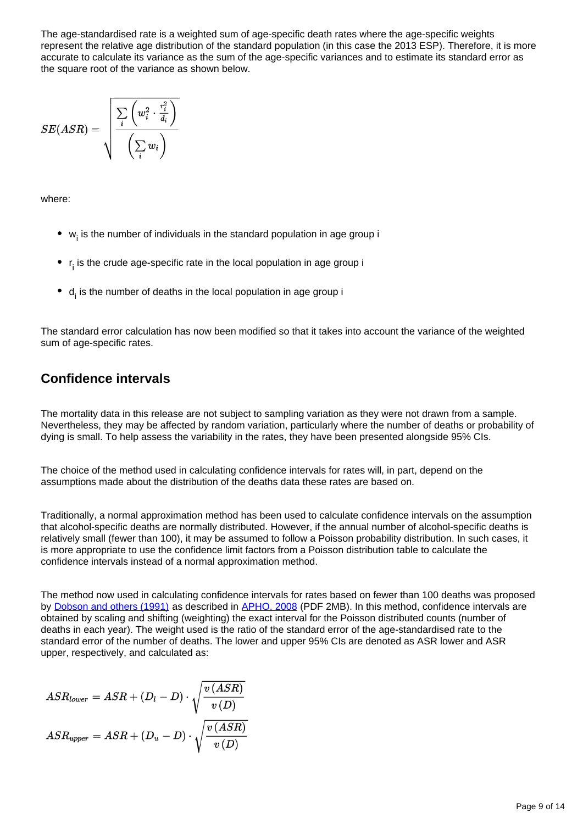The age-standardised rate is a weighted sum of age-specific death rates where the age-specific weights represent the relative age distribution of the standard population (in this case the 2013 ESP). Therefore, it is more accurate to calculate its variance as the sum of the age-specific variances and to estimate its standard error as the square root of the variance as shown below.

$$
SE(ASR) = \sqrt{\frac{\sum\limits_{i}\left(w_i^2\cdot\frac{r_i^2}{d_i}\right)}{\left(\sum\limits_{i}w_i\right)}}
$$

where:

- $\bullet$  w<sub>i</sub> is the number of individuals in the standard population in age group i
- $\bullet$  r<sub>i</sub> is the crude age-specific rate in the local population in age group i
- $\bullet$  d<sub>i</sub> is the number of deaths in the local population in age group i

The standard error calculation has now been modified so that it takes into account the variance of the weighted sum of age-specific rates.

### **Confidence intervals**

The mortality data in this release are not subject to sampling variation as they were not drawn from a sample. Nevertheless, they may be affected by random variation, particularly where the number of deaths or probability of dying is small. To help assess the variability in the rates, they have been presented alongside 95% CIs.

The choice of the method used in calculating confidence intervals for rates will, in part, depend on the assumptions made about the distribution of the deaths data these rates are based on.

Traditionally, a normal approximation method has been used to calculate confidence intervals on the assumption that alcohol-specific deaths are normally distributed. However, if the annual number of alcohol-specific deaths is relatively small (fewer than 100), it may be assumed to follow a Poisson probability distribution. In such cases, it is more appropriate to use the confidence limit factors from a Poisson distribution table to calculate the confidence intervals instead of a normal approximation method.

The method now used in calculating confidence intervals for rates based on fewer than 100 deaths was proposed by [Dobson and others \(1991\)](http://onlinelibrary.wiley.com/doi/10.1002/sim.4780100317/abstract) as described in [APHO, 2008](http://webarchive.nationalarchives.gov.uk/20170106081009/http:/www.apho.org.uk/resource/view.aspx?RID=48457) (PDF 2MB). In this method, confidence intervals are obtained by scaling and shifting (weighting) the exact interval for the Poisson distributed counts (number of deaths in each year). The weight used is the ratio of the standard error of the age-standardised rate to the standard error of the number of deaths. The lower and upper 95% CIs are denoted as ASR lower and ASR upper, respectively, and calculated as:

$$
ASR_{lower} = ASR + (D_l - D) \cdot \sqrt{\frac{v\left(ASR\right)}{v\left(D\right)}}
$$
  

$$
ASR_{upper} = ASR + (D_u - D) \cdot \sqrt{\frac{v\left(ASR\right)}{v\left(D\right)}}
$$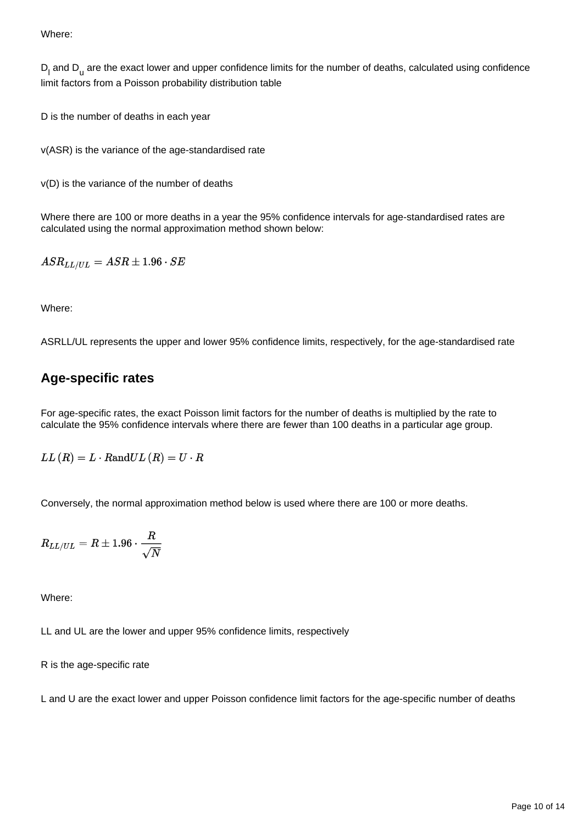Where:

 $D_1$  and  $D_{11}$  are the exact lower and upper confidence limits for the number of deaths, calculated using confidence limit factors from a Poisson probability distribution table

D is the number of deaths in each year

v(ASR) is the variance of the age-standardised rate

v(D) is the variance of the number of deaths

Where there are 100 or more deaths in a year the 95% confidence intervals for age-standardised rates are calculated using the normal approximation method shown below:

 $ASR_{LL/UL}=ASR\pm 1.96\cdot SE$ 

Where:

ASRLL/UL represents the upper and lower 95% confidence limits, respectively, for the age-standardised rate

### **Age-specific rates**

For age-specific rates, the exact Poisson limit factors for the number of deaths is multiplied by the rate to calculate the 95% confidence intervals where there are fewer than 100 deaths in a particular age group.

 $LL(R) = L \cdot RandUL(R) = U \cdot R$ 

Conversely, the normal approximation method below is used where there are 100 or more deaths.

$$
R_{LL/UL}=R\pm1.96\cdot\frac{R}{\sqrt{N}}
$$

Where:

LL and UL are the lower and upper 95% confidence limits, respectively

R is the age-specific rate

L and U are the exact lower and upper Poisson confidence limit factors for the age-specific number of deaths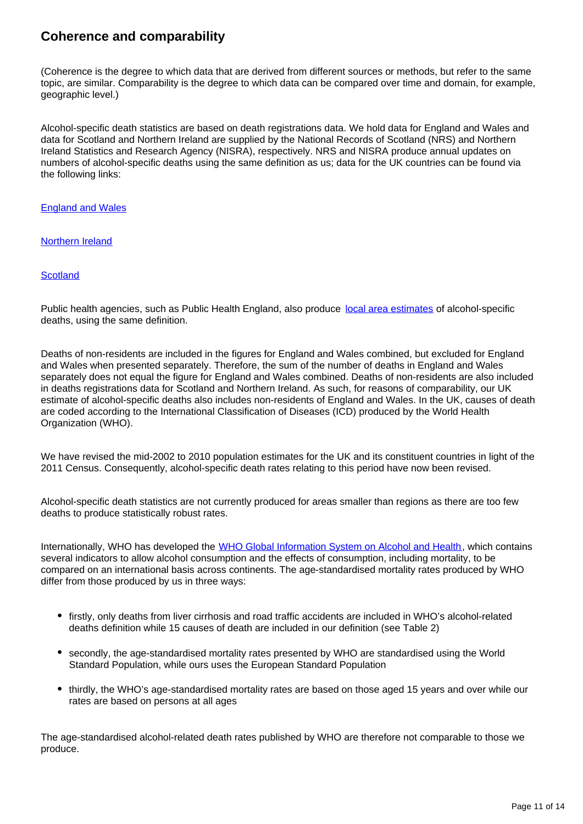#### **Coherence and comparability**

(Coherence is the degree to which data that are derived from different sources or methods, but refer to the same topic, are similar. Comparability is the degree to which data can be compared over time and domain, for example, geographic level.)

Alcohol-specific death statistics are based on death registrations data. We hold data for England and Wales and data for Scotland and Northern Ireland are supplied by the National Records of Scotland (NRS) and Northern Ireland Statistics and Research Agency (NISRA), respectively. NRS and NISRA produce annual updates on numbers of alcohol-specific deaths using the same definition as us; data for the UK countries can be found via the following links:

[England and Wales](https://www.ons.gov.uk/peoplepopulationandcommunity/healthandsocialcare/causesofdeath/bulletins/alcoholrelateddeathsintheunitedkingdom/registeredin2016/relateddata)

[Northern Ireland](https://www.nisra.gov.uk/statistics/cause-death/alcohol-and-drug-deaths)

#### **[Scotland](https://www.nrscotland.gov.uk/statistics-and-data/statistics/statistics-by-theme/vital-events/deaths/alcohol-related-deaths)**

Public health agencies, such as Public Health England, also produce [local area estimates](https://fingertips.phe.org.uk/profile/local-alcohol-profiles) of alcohol-specific deaths, using the same definition.

Deaths of non-residents are included in the figures for England and Wales combined, but excluded for England and Wales when presented separately. Therefore, the sum of the number of deaths in England and Wales separately does not equal the figure for England and Wales combined. Deaths of non-residents are also included in deaths registrations data for Scotland and Northern Ireland. As such, for reasons of comparability, our UK estimate of alcohol-specific deaths also includes non-residents of England and Wales. In the UK, causes of death are coded according to the International Classification of Diseases (ICD) produced by the World Health Organization (WHO).

We have revised the mid-2002 to 2010 population estimates for the UK and its constituent countries in light of the 2011 Census. Consequently, alcohol-specific death rates relating to this period have now been revised.

Alcohol-specific death statistics are not currently produced for areas smaller than regions as there are too few deaths to produce statistically robust rates.

Internationally, WHO has developed the [WHO Global Information System on Alcohol and Health](http://www.who.int/gho/alcohol/en/), which contains several indicators to allow alcohol consumption and the effects of consumption, including mortality, to be compared on an international basis across continents. The age-standardised mortality rates produced by WHO differ from those produced by us in three ways:

- firstly, only deaths from liver cirrhosis and road traffic accidents are included in WHO's alcohol-related deaths definition while 15 causes of death are included in our definition (see Table 2)
- secondly, the age-standardised mortality rates presented by WHO are standardised using the World Standard Population, while ours uses the European Standard Population
- thirdly, the WHO's age-standardised mortality rates are based on those aged 15 years and over while our rates are based on persons at all ages

The age-standardised alcohol-related death rates published by WHO are therefore not comparable to those we produce.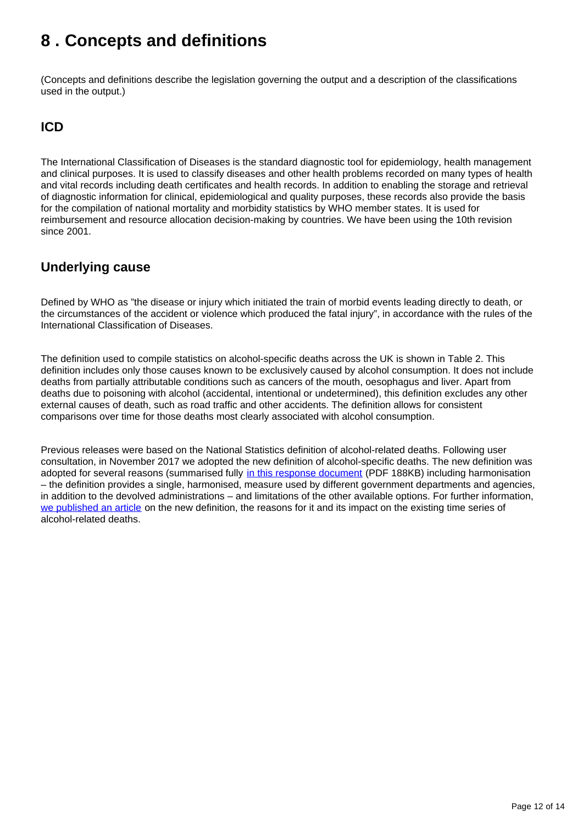### <span id="page-11-0"></span>**8 . Concepts and definitions**

(Concepts and definitions describe the legislation governing the output and a description of the classifications used in the output.)

#### **ICD**

The International Classification of Diseases is the standard diagnostic tool for epidemiology, health management and clinical purposes. It is used to classify diseases and other health problems recorded on many types of health and vital records including death certificates and health records. In addition to enabling the storage and retrieval of diagnostic information for clinical, epidemiological and quality purposes, these records also provide the basis for the compilation of national mortality and morbidity statistics by WHO member states. It is used for reimbursement and resource allocation decision-making by countries. We have been using the 10th revision since 2001.

#### **Underlying cause**

Defined by WHO as "the disease or injury which initiated the train of morbid events leading directly to death, or the circumstances of the accident or violence which produced the fatal injury", in accordance with the rules of the International Classification of Diseases.

The definition used to compile statistics on alcohol-specific deaths across the UK is shown in Table 2. This definition includes only those causes known to be exclusively caused by alcohol consumption. It does not include deaths from partially attributable conditions such as cancers of the mouth, oesophagus and liver. Apart from deaths due to poisoning with alcohol (accidental, intentional or undetermined), this definition excludes any other external causes of death, such as road traffic and other accidents. The definition allows for consistent comparisons over time for those deaths most clearly associated with alcohol consumption.

Previous releases were based on the National Statistics definition of alcohol-related deaths. Following user consultation, in November 2017 we adopted the new definition of alcohol-specific deaths. The new definition was adopted for several reasons (summarised fully [in this response document](https://consultations.ons.gov.uk/health-and-life-events/alcohol-mortality-definition-review/results/alcohol-definition-consultation_response-_final-draft.pdf) (PDF 188KB) including harmonisation – the definition provides a single, harmonised, measure used by different government departments and agencies, in addition to the devolved administrations – and limitations of the other available options. For further information, [we published an article](https://www.ons.gov.uk/peoplepopulationandcommunity/birthsdeathsandmarriages/deaths/articles/theimpactofusingthenewdefinitionofalcoholspecificdeaths/2017-10-27) on the new definition, the reasons for it and its impact on the existing time series of alcohol-related deaths.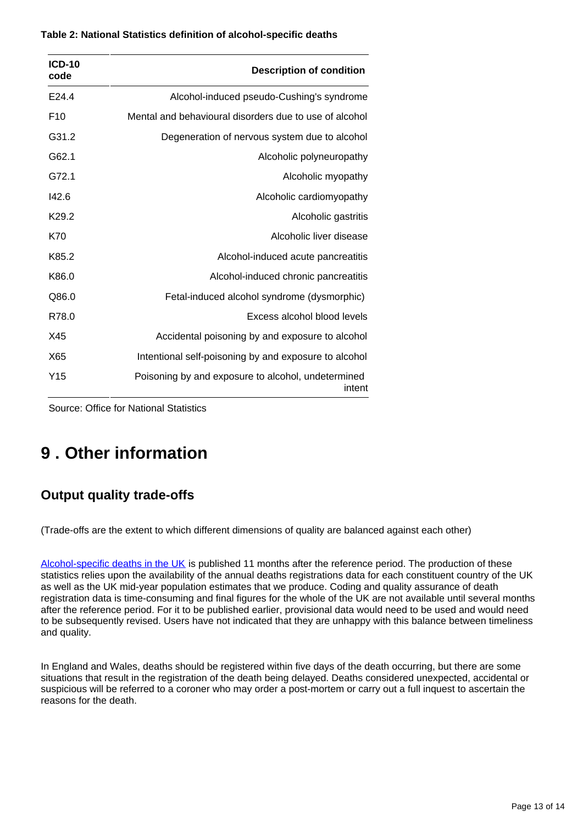| <b>ICD-10</b><br>code | <b>Description of condition</b>                              |
|-----------------------|--------------------------------------------------------------|
| E24.4                 | Alcohol-induced pseudo-Cushing's syndrome                    |
| F <sub>10</sub>       | Mental and behavioural disorders due to use of alcohol       |
| G31.2                 | Degeneration of nervous system due to alcohol                |
| G62.1                 | Alcoholic polyneuropathy                                     |
| G72.1                 | Alcoholic myopathy                                           |
| 142.6                 | Alcoholic cardiomyopathy                                     |
| K <sub>29.2</sub>     | Alcoholic gastritis                                          |
| K70                   | Alcoholic liver disease                                      |
| K85.2                 | Alcohol-induced acute pancreatitis                           |
| K86.0                 | Alcohol-induced chronic pancreatitis                         |
| Q86.0                 | Fetal-induced alcohol syndrome (dysmorphic)                  |
| R78.0                 | Excess alcohol blood levels                                  |
| X45                   | Accidental poisoning by and exposure to alcohol              |
| X65                   | Intentional self-poisoning by and exposure to alcohol        |
| Y15                   | Poisoning by and exposure to alcohol, undetermined<br>intent |

Source: Office for National Statistics

### <span id="page-12-0"></span>**9 . Other information**

### **Output quality trade-offs**

(Trade-offs are the extent to which different dimensions of quality are balanced against each other)

[Alcohol-specific deaths in the UK](https://www.ons.gov.uk/peoplepopulationandcommunity/healthandsocialcare/causesofdeath/bulletins/alcoholrelateddeathsintheunitedkingdom/registeredin2016) is published 11 months after the reference period. The production of these statistics relies upon the availability of the annual deaths registrations data for each constituent country of the UK as well as the UK mid-year population estimates that we produce. Coding and quality assurance of death registration data is time-consuming and final figures for the whole of the UK are not available until several months after the reference period. For it to be published earlier, provisional data would need to be used and would need to be subsequently revised. Users have not indicated that they are unhappy with this balance between timeliness and quality.

In England and Wales, deaths should be registered within five days of the death occurring, but there are some situations that result in the registration of the death being delayed. Deaths considered unexpected, accidental or suspicious will be referred to a coroner who may order a post-mortem or carry out a full inquest to ascertain the reasons for the death.